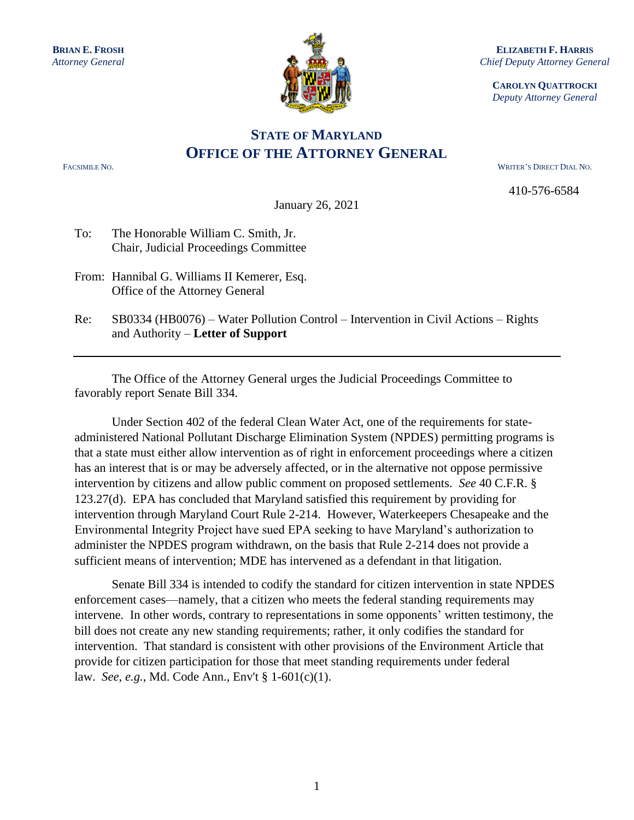

**ELIZABETH F. HARRIS** *Chief Deputy Attorney General*

**CAROLYN QUATTROCKI** *Deputy Attorney General*

## **STATE OF MARYLAND OFFICE OF THE ATTORNEY GENERAL**

FACSIMILE NO. WRITER'S DIRECT DIAL NO.

410-576-6584

January 26, 2021

- To: The Honorable William C. Smith, Jr. Chair, Judicial Proceedings Committee
- From: Hannibal G. Williams II Kemerer, Esq. Office of the Attorney General
- Re: SB0334 (HB0076) Water Pollution Control Intervention in Civil Actions Rights and Authority – **Letter of Support**

 The Office of the Attorney General urges the Judicial Proceedings Committee to favorably report Senate Bill 334.

Under Section 402 of the federal Clean Water Act, one of the requirements for stateadministered National Pollutant Discharge Elimination System (NPDES) permitting programs is that a state must either allow intervention as of right in enforcement proceedings where a citizen has an interest that is or may be adversely affected, or in the alternative not oppose permissive intervention by citizens and allow public comment on proposed settlements. *See* 40 C.F.R. § 123.27(d). EPA has concluded that Maryland satisfied this requirement by providing for intervention through Maryland Court Rule 2-214. However, Waterkeepers Chesapeake and the Environmental Integrity Project have sued EPA seeking to have Maryland's authorization to administer the NPDES program withdrawn, on the basis that Rule 2-214 does not provide a sufficient means of intervention; MDE has intervened as a defendant in that litigation.

Senate Bill 334 is intended to codify the standard for citizen intervention in state NPDES enforcement cases—namely, that a citizen who meets the federal standing requirements may intervene. In other words, contrary to representations in some opponents' written testimony, the bill does not create any new standing requirements; rather, it only codifies the standard for intervention. That standard is consistent with other provisions of the Environment Article that provide for citizen participation for those that meet standing requirements under federal law. *See, e.g.*, Md. Code Ann., Env't § 1-601(c)(1).